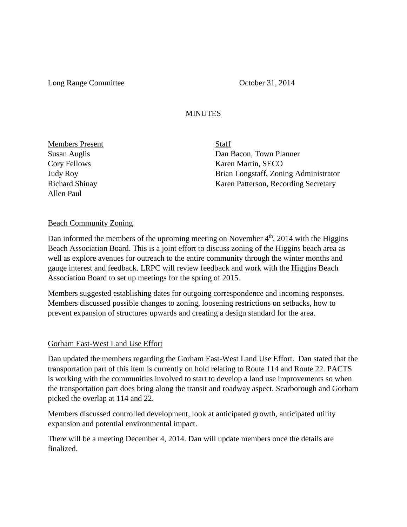Long Range Committee **October 31, 2014** 

## **MINUTES**

Members Present Staff Allen Paul

Susan Auglis Dan Bacon, Town Planner Cory Fellows Karen Martin, SECO Judy Roy Brian Longstaff, Zoning Administrator Richard Shinay Karen Patterson, Recording Secretary

## Beach Community Zoning

Dan informed the members of the upcoming meeting on November  $4<sup>th</sup>$ , 2014 with the Higgins Beach Association Board. This is a joint effort to discuss zoning of the Higgins beach area as well as explore avenues for outreach to the entire community through the winter months and gauge interest and feedback. LRPC will review feedback and work with the Higgins Beach Association Board to set up meetings for the spring of 2015.

Members suggested establishing dates for outgoing correspondence and incoming responses. Members discussed possible changes to zoning, loosening restrictions on setbacks, how to prevent expansion of structures upwards and creating a design standard for the area.

## Gorham East-West Land Use Effort

Dan updated the members regarding the Gorham East-West Land Use Effort. Dan stated that the transportation part of this item is currently on hold relating to Route 114 and Route 22. PACTS is working with the communities involved to start to develop a land use improvements so when the transportation part does bring along the transit and roadway aspect. Scarborough and Gorham picked the overlap at 114 and 22.

Members discussed controlled development, look at anticipated growth, anticipated utility expansion and potential environmental impact.

There will be a meeting December 4, 2014. Dan will update members once the details are finalized.